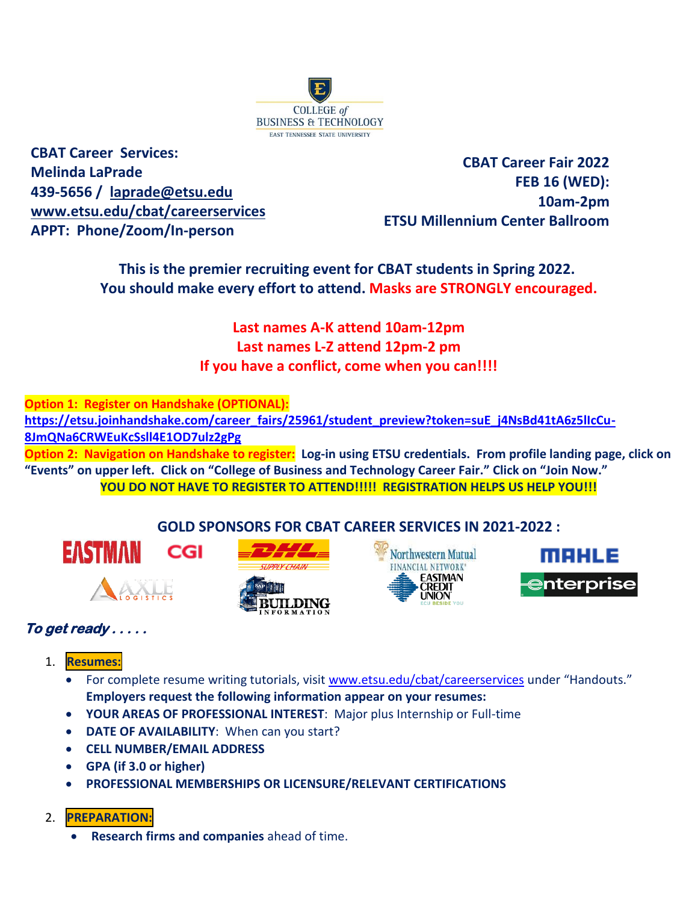

**CBAT Career Services: Melinda LaPrade 439-5656 / [laprade@etsu.edu](mailto:laprade@etsu.edu) [www.etsu.edu/cbat/careerservices](http://www.etsu.edu/cbat/careerservices) APPT: Phone/Zoom/In-person**

**CBAT Career Fair 2022 FEB 16 (WED): 10am-2pm ETSU Millennium Center Ballroom**

**This is the premier recruiting event for CBAT students in Spring 2022. You should make every effort to attend. Masks are STRONGLY encouraged.**

> **Last names A-K attend 10am-12pm Last names L-Z attend 12pm-2 pm If you have a conflict, come when you can!!!!**

**Option 1: Register on Handshake (OPTIONAL):** 

[https://etsu.joinhandshake.com/career\\_fairs/25961/student\\_preview?token=suE\\_j4NsBd41tA6z5lIcCu-](https://etsu.joinhandshake.com/career_fairs/25961/student_preview?token=suE_j4NsBd41tA6z5lIcCu-8JmQNa6CRWEuKcSsll4E1OD7ulz2gPg)**[8JmQNa6CRWEuKcSsll4E1OD7ulz2gPg](https://etsu.joinhandshake.com/career_fairs/25961/student_preview?token=suE_j4NsBd41tA6z5lIcCu-8JmQNa6CRWEuKcSsll4E1OD7ulz2gPg)**

**Option 2: Navigation on Handshake to register: Log-in using ETSU credentials. From profile landing page, click on "Events" on upper left. Click on "College of Business and Technology Career Fair." Click on "Join Now." YOU DO NOT HAVE TO REGISTER TO ATTEND!!!!! REGISTRATION HELPS US HELP YOU!!!**

## **GOLD SPONSORS FOR CBAT CAREER SERVICES IN 2021-2022 :**

**EASTMAN CGI** 

AAXLE









## **To get ready . . . . .**

- 1. **Resumes:**
	- For complete resume writing tutorials, visit [www.etsu.edu/cbat/careerservices](http://www.etsu.edu/cbat/careerservices) under "Handouts." **Employers request the following information appear on your resumes:**
	- **YOUR AREAS OF PROFESSIONAL INTEREST**: Major plus Internship or Full-time
	- **DATE OF AVAILABILITY**: When can you start?
	- **CELL NUMBER/EMAIL ADDRESS**
	- **GPA (if 3.0 or higher)**
	- **PROFESSIONAL MEMBERSHIPS OR LICENSURE/RELEVANT CERTIFICATIONS**
- 2. **PREPARATION:**
	- **Research firms and companies** ahead of time.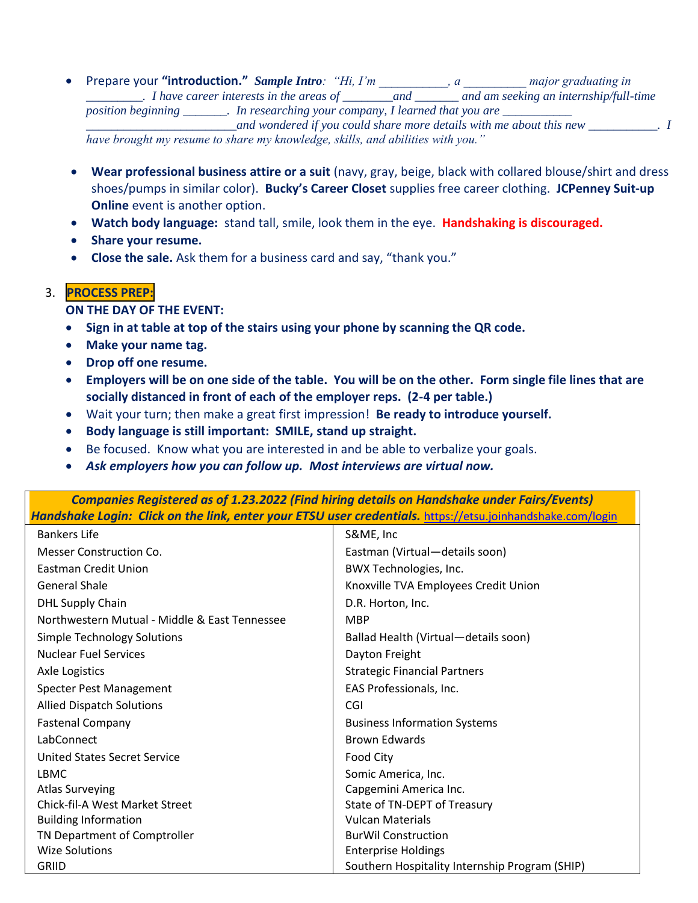• Prepare your "**introduction."** *Sample Intro*: "Hi, I'm a give graduating in *major graduating in \_\_\_\_\_\_\_\_\_. I have career interests in the areas of \_\_\_\_\_\_\_\_and \_\_\_\_\_\_\_ and am seeking an internship/full-time position beginning*  $\blacksquare$ *. In researching your company, I learned that you are* 

*\_\_\_\_\_\_\_\_\_\_\_\_\_\_\_\_\_\_\_\_\_\_\_\_and wondered if you could share more details with me about this new \_\_\_\_\_\_\_\_\_\_\_. I have brought my resume to share my knowledge, skills, and abilities with you."*

- **Wear professional business attire or a suit** (navy, gray, beige, black with collared blouse/shirt and dress shoes/pumps in similar color). **Bucky's Career Closet** supplies free career clothing. **JCPenney Suit-up Online** event is another option.
- **Watch body language:** stand tall, smile, look them in the eye. **Handshaking is discouraged.**
- **Share your resume.**
- **Close the sale.** Ask them for a business card and say, "thank you."

## 3. **PROCESS PREP:**

## **ON THE DAY OF THE EVENT:**

- **Sign in at table at top of the stairs using your phone by scanning the QR code.**
- **Make your name tag.**
- **Drop off one resume.**
- **Employers will be on one side of the table. You will be on the other. Form single file lines that are socially distanced in front of each of the employer reps. (2-4 per table.)**
- Wait your turn; then make a great first impression! **Be ready to introduce yourself.**
- **Body language is still important: SMILE, stand up straight.**
- Be focused. Know what you are interested in and be able to verbalize your goals.
- *Ask employers how you can follow up. Most interviews are virtual now.*

*Companies Registered as of 1.23.2022 (Find hiring details on Handshake under Fairs/Events) Handshake Login: Click on the link, enter your ETSU user credentials.* <https://etsu.joinhandshake.com/login>

| <b>Bankers Life</b>                           | S&ME, Inc                                      |
|-----------------------------------------------|------------------------------------------------|
| Messer Construction Co.                       | Eastman (Virtual-details soon)                 |
| Eastman Credit Union                          | BWX Technologies, Inc.                         |
| <b>General Shale</b>                          | Knoxville TVA Employees Credit Union           |
| <b>DHL Supply Chain</b>                       | D.R. Horton, Inc.                              |
| Northwestern Mutual - Middle & East Tennessee | <b>MBP</b>                                     |
| <b>Simple Technology Solutions</b>            | Ballad Health (Virtual-details soon)           |
| <b>Nuclear Fuel Services</b>                  | Dayton Freight                                 |
| <b>Axle Logistics</b>                         | <b>Strategic Financial Partners</b>            |
| <b>Specter Pest Management</b>                | EAS Professionals, Inc.                        |
| <b>Allied Dispatch Solutions</b>              | CGI                                            |
| <b>Fastenal Company</b>                       | <b>Business Information Systems</b>            |
| LabConnect                                    | <b>Brown Edwards</b>                           |
| United States Secret Service                  | <b>Food City</b>                               |
| <b>LBMC</b>                                   | Somic America, Inc.                            |
| <b>Atlas Surveying</b>                        | Capgemini America Inc.                         |
| <b>Chick-fil-A West Market Street</b>         | State of TN-DEPT of Treasury                   |
| <b>Building Information</b>                   | <b>Vulcan Materials</b>                        |
| TN Department of Comptroller                  | <b>BurWil Construction</b>                     |
| <b>Wize Solutions</b>                         | <b>Enterprise Holdings</b>                     |
| <b>GRIID</b>                                  | Southern Hospitality Internship Program (SHIP) |